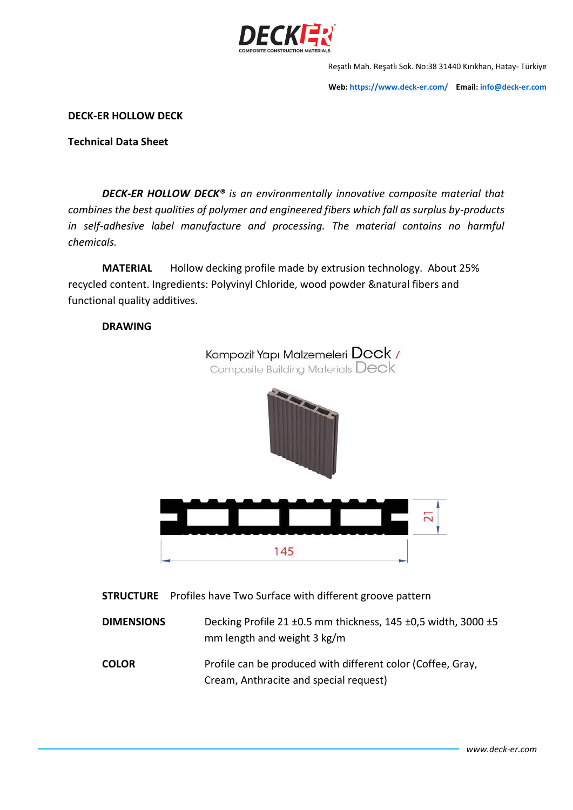

Reşatlı Mah. Reşatlı Sok. No:38 31440 Kırıkhan, Hatay- Türkiye

**Web[: https://www.deck-er.com/](https://www.deck-er.com/) Email: [info@deck-er.com](mailto:info@deck-er.com)**

**DECK-ER HOLLOW DECK**

**Technical Data Sheet**

*DECK-ER HOLLOW DECK® is an environmentally innovative composite material that combines the best qualities of polymer and engineered fibers which fall as surplus by-products in self-adhesive label manufacture and processing. The material contains no harmful chemicals.*

**MATERIAL** Hollow decking profile made by extrusion technology. About 25% recycled content. Ingredients: Polyvinyl Chloride, wood powder &natural fibers and functional quality additives.

## **DRAWING**



**STRUCTURE** Profiles have Two Surface with different groove pattern

**DIMENSIONS** Decking Profile 21 ±0.5 mm thickness, 145 ±0,5 width, 3000 ±5 mm length and weight 3 kg/m

**COLOR** Profile can be produced with different color (Coffee, Gray, Cream, Anthracite and special request)